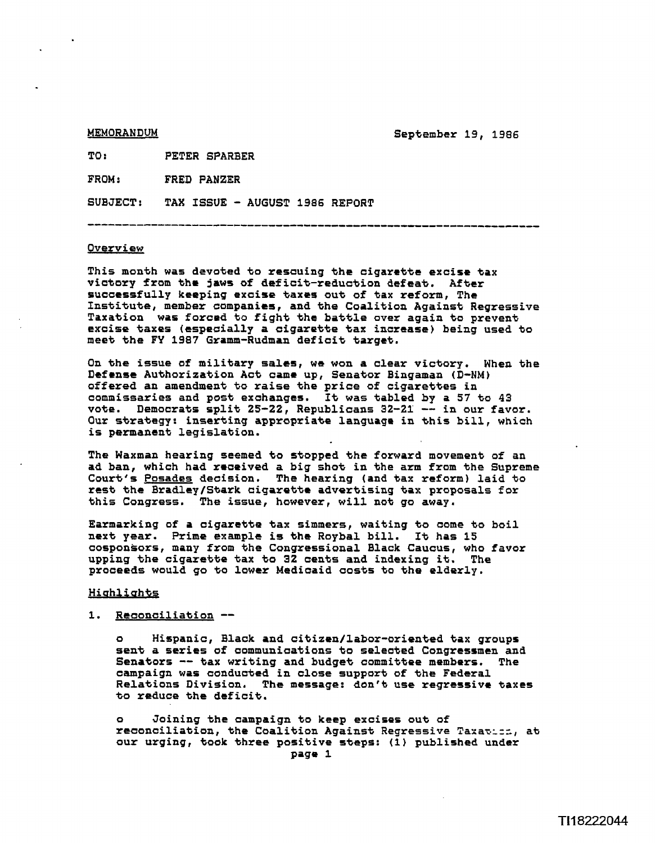**MEMORANDUM** 

**September 19, 1986** 

TO: **PETER SPARBER** 

FROM: FRED PANZER

**SUBJECT: TAX ISSUE** - **AUGUST 1986 REPORT** 

#### **Overview**

**This month was devoted to rescuing the cigarette excise tax victory from the jaws of deficit-reduction defeat. After successfully keeping excise taxes out of tax reform, The Institute, member companies, and the Coalition Against Regressive Taxation was forced to fight the battle over again to prevent excise taxes (especially a cigarette tax increase) being used to meet the FY 1987 Gramm-Rudman deficit target.** 

**On the issue of military sales, we won a clear victory. When the Defense Authorization Act came up, Senator Bingaman (D-NM) offered an amendment to raise the price of cigarettes in commissaries and post exchanges. It was tabled by a 57 to 43 vote. Democrats split 25-22, Republicans 32-21** -- **in our favor. Our strategy: inserting appropriate language in this bill, which is permanent legislation.** 

**The Waxman hearing seemed to stopped the forward movement of an ad ban, which had received a big shot in the arm from the Supreme Court's Posades decision. The hearing (and tax reform) laid to rest the Bradley/Stark cigarette advertising tax proposals for this Congress. The issue, however, will not go away.** 

**Earmarking of a cigarette tax simmers, waiting to come to boil next year. Prime example is the Roybal bill. It has 15 cosponsors, many from the Congressional Black Caucus, who favor upping the cigarettie tax to 32 cants and indexing it. The proceeds would go to lower Medicaid costs to the elderly,** 

### Highlights

## **1. Reconciliation** --

**o Hispanic, Black and citizen/labor-oriented tax groups sent a series of communications to selected Congressmen and Senators** -- **tax writing and budget committee members. The campaign was conducted in close support of the Federal Relations Division, The message: don't use regressive taxes to reduce the deficit.** 

**o Joining the campaign to keep excises out of reconciliation, the Coalition Against Regressive Taran:=;, at our urging, took three positive steps: (1) published under Page 1**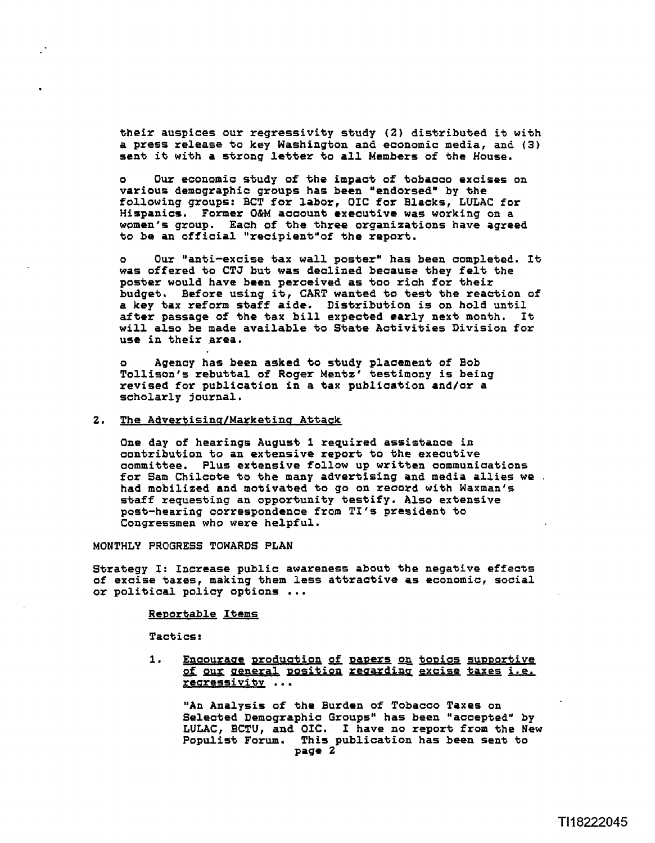**their auspices our regressivity study (2) distributed it with a press release to key Washington and economic media, and (3) sent it with a strong latter to all Members of the House.** 

Our economic study of the impact of tobacco excises on various demographic groups has been "endorsed" by the following groups: BCT for labor, OIC for Blacks, LULAC for **Hispanics. Former OBM account executive was working on a women's group. Each of the three organizations have agreed**  to be an official "recipient" of the report.

Our "anti-excise tax wall poster" has been completed. It **was offered to CTJ but was declined because they felt the poster would have been perceived as too rich for their budget, Before using it, CART wanted to test the reaction of a key tax reform staff aide. Distribution is on hold until after passage of the tax bill expected early next month. It**  will also be made available to State Activities Division for use in their area.

**o Agency has been asked to study placement of Bob Tollison's rebuttal of Roger Mentz' testimony is being revised for publication in a tax publication and/or a scholarly journal.** 

# **2. The Advertisina/Marketina Attack**

**One day of hearings August 1 required assisbance in**  contribution to an extensive report to the executive **committee. Plus extensive follow up written communications for Sam Chilcote to the many advertising and media allies we** . **had mobilized and motivated to go on record with Waxman's staff requesting an opportunity testify. Also extensive post-hearing correspondence from TI'S president to Congressmen who were helpful.** 

**MONTHLY PROGRESS TOWARDS PLAN** 

**Strategy I: Increase public awareness about the negative effects of excise taxes, making them less attractive as economic, social or political policy options** ...

### **Reportable Items**

**Tactics** :

1. Encourage production of papers on topics supportive  $of$  oux general position regarding excise taxes i.e. **rearessivitv** . . .

**"An Analysis of the Burden of Tobacco Taxes on**  Selected Demographic Groups" has been "accepted" by **LULAC, BCTU, and OIC. I have no report from the New Populist Forum. This publication has been sent to Page 2**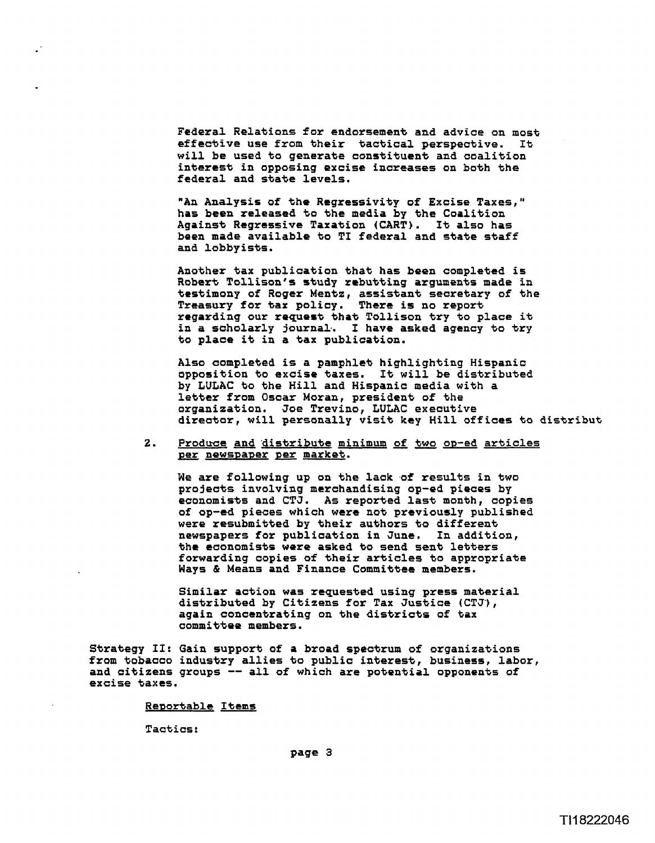**Federal Relations for endorsement and advice on moot effective use from their tactical perspective. It will be used to generate constituent and coalition interest in opposing excise increases on both the federal and state levels.** 

**"An Analysis of the Rcgressivity of Excise Taxes," has been released to the media by the Coalition Against Regressive Taxation (CART). It also has been made available to TI federal and state staff and lobbyists.** 

**Another tax publication that has been completed is Robert Tallison's study rebutting arguments made in testimony of Roger Mentz, assistant secretary of the Treasury for tax policy. There is no report regarding our request that Tollison try to place it in a scholarly journal.. I have asked agency to try to place it in a tax publication.** 

**Also completed is a pamphlet highlighting Hispanic opposition to excise taxes. It will be distributed by LULAC to the Hill and Hispanic media with a letter from Oscar Moran, president of the organization. Joe Trevino, LULAC executive director, will personally visit key Hill offices to distribut** 

2. Produce and distribute minimum of **two op-ed articles newspaper market.** 

We are following up on the lack of results in two **projects involving merchandising op-ed pieces by economists and CTJ. As reported last month, copies of op-ed pieces which were not previously published were resubmitted by their authors to different newspapers for publication in June. In addition, the coonomists were asked to send sent letters forwarding copies of their articles to appropriate Ways** *8* **Means and Finance Committee members.** 

**Similar action was requested using press material distributed by Citizens for Tax Justice (CTJ'), again concentrating on the districts of tax committee members.** 

**Strategy If: Gain support of a broad spectrum of organizations from tobacco industry allies to public interest, business, labor, and citizens groups** -- **all of which are potential opponents of excise taxes.** 

## **Renortable Items**

**Tactics:**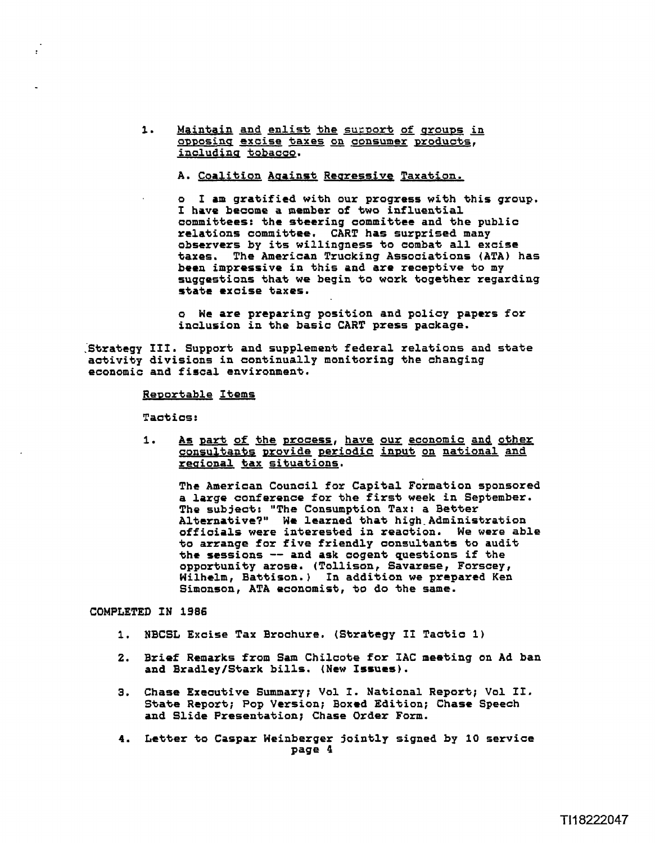1. Maintain and enlist the support of groups in **a~pasincr excise +axes on consumer ~roducts,**  including tobacco.

A. Coalition Against Regressive Taxation.

**o I am gratified with our progress with this group. I have become a member of two influential committees: the steering committee and the public relations committee. CART has surprised many observers by its willingness to combat all excise taxes. The American Trucking Associations (ATA) has been impressive in this and are receptive to my suggestions that we begin to work together regarding state excise taxes.** 

**o We are preparing position and policy papers for inclusion in the basic CART press package.** 

**.'Strategy 111. Support and supplement federal relations and state activity divisions in continually monitoring the changing economic and fiscal environment.** 

### **Renortable Items**

**Tactics:** 

**1. part of the process, have our economic and other**  consultants provide periodic input on national and **reaional tax situations.** 

The American Council for Capital Formation sponsored **a large conference for the first week in September. The subject: "The Consumption Tax: a Better Alternative?" We learned that high-Administration**  officials were interested in reaction. **to arrange for five friendly consultants to audit the sessions** -- **and ask cogent questions if the opportunity arose. (Tollison, Savarese, Forscey, Wilhelm, Battison.) In addition we prepared Ken Simonson, ATA economist, to do the same.** 

**COMPLETED IN 1986** 

- **1. NBCSL Excise Tax Brochure. (Strategy I1 Tactic 1)**
- **2. Brief Remarks from Sam Chilcote for IAC meeting on Ad ban**  and Bradley/Stark bills. (New Issues).
- **3. Chase Executive Summary; Vol I. National Report; Vol If. State Report; Pop Version; Boxed Edition; Chase Speech and Slide Presentation; Chase Order Form.**
- **4. Letter to Caspar Weinberger jointly signed by 10 service page 4**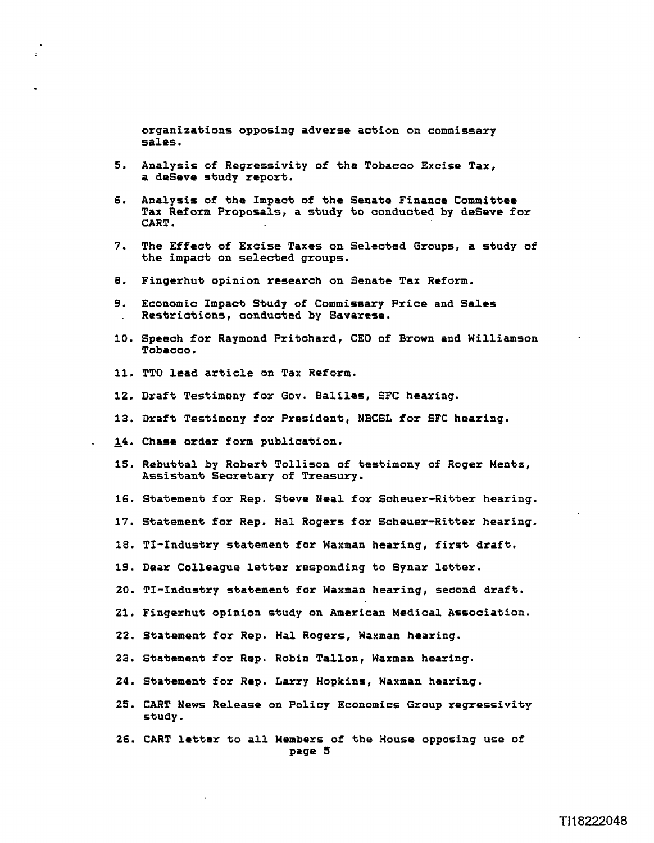**organizations opposing adverse action on commissary sales.** 

- **5. Analysis of Regressivity of the Tobacco Excise Tax, a deSeve study report.**
- **6. Analysis of the Impact of the Senate Finance Committee Tax Reform Proposals, a study to conducted by deSeve for CART.**
- **7. The Effect of Excise Taxes on Selected Groups, a study of the impact on selected groups.**
- **8. Fingerhut opinion research on Senate Tax Reform.**
- **9. Economic Impact Study of Commissary Price and Sales** . **Restrictions, conducted by Savarase.**
- **10. Speech for Raymond Pritchard, CEO of Brown and Williamson Tobacco.**
- **11. TTO lead article on Tax Reform.**
- **12. Draft Testimony for GOV. Baliles, SFC hearing.**
- **13. Draft Testimony for President, NBCSL for SFC hearing.**
- **14. Chase order form publication.**
- **15, Rebuttal by Robert Tollison of testimony of Roger Mentz, Assistan\* Secretary of Treasury.**
- **16. Statement for Rep. Steve Neal for Scheuer-Ritter hearing.**
- **17. Statement for Rep. Hal Rogers fox Scheuer-Ritter hearing.**
- **18. TI-Industry statement for Waxman hearing, first draft.**
- **19. Dear Colleague letter responding to Synar letter.**
- **20. TI-Industry statement for Waxman hearing, second draft.**
- **21. Fingerhut opinion study on American Medical Association.**
- **22. Statement for Rep. Hal Rogers, Waxman hearing.**
- **23. Statement for Rep. Robin Tallon, Waxman hearing.**
- **24. Statement for Rep. Larry Hopkins, Naxman hearing.**
- **25. CART News Release on Policy Economics Group regressivity study.**
- **26. CART letter to all Members of the House opposing use of Page 5**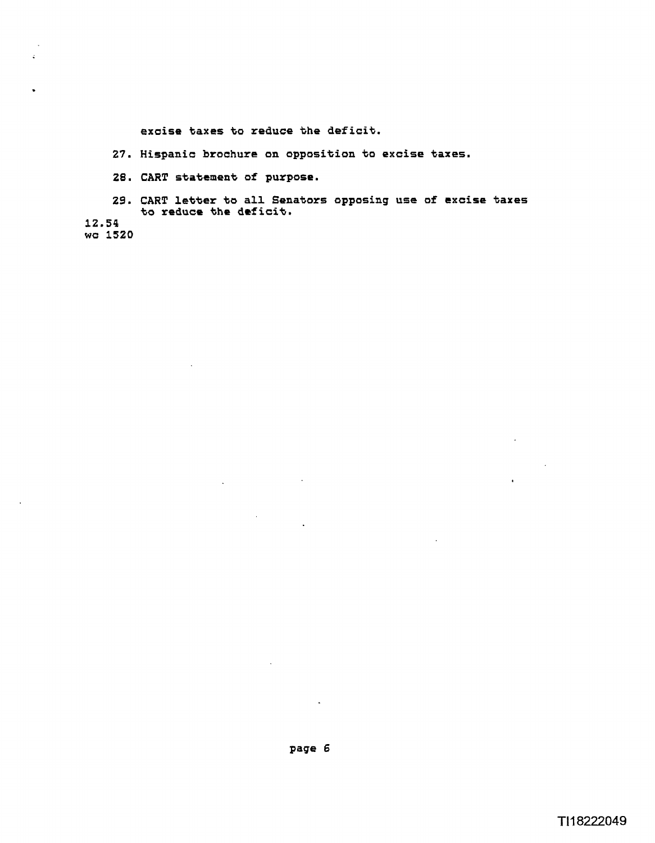**excise taxes to reduce the deficit.** 

- **27. Hispanic brochure on opposition to excise taxes.**
- **28. CART statement of purpose.**

 $\mathcal{L}_{\mathbf{a}}$ 

**29. CART letter to all Senators opposing use of excise taxes to reduce the deficit.** 

**12.54 wc 1520** 

 $\sim$